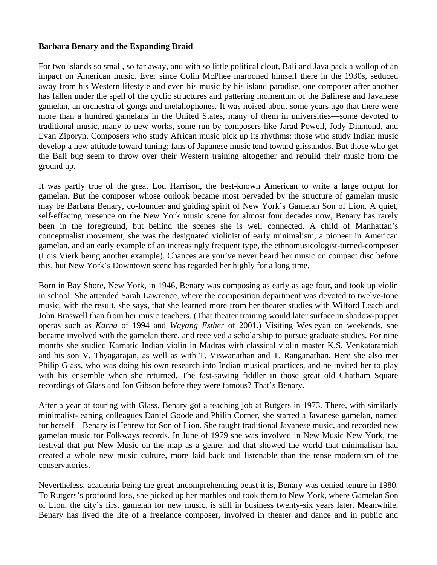#### **Barbara Benary and the Expanding Braid**

For two islands so small, so far away, and with so little political clout, Bali and Java pack a wallop of an impact on American music. Ever since Colin McPhee marooned himself there in the 1930s, seduced away from his Western lifestyle and even his music by his island paradise, one composer after another has fallen under the spell of the cyclic structures and pattering momentum of the Balinese and Javanese gamelan, an orchestra of gongs and metallophones. It was noised about some years ago that there were more than a hundred gamelans in the United States, many of them in universities—some devoted to traditional music, many to new works, some run by composers like Jarad Powell, Jody Diamond, and Eva n Ziporyn. Composers who study African music pick up its rhythms; those who study Indian music develop a new attitude toward tuning; fans of Japanese music tend toward glissandos. But those who get the Bali bug seem to throw over their Western training altogether and rebuild their music from the gro und up.

It was partly true of the great Lou Harrison, the best-known American to write a large output for gam elan. But the composer whose outlook became most pervaded by the structure of gamelan music may be Barbara Benary, co-founder and guiding spirit of New York's Gamelan Son of Lion. A quiet, self-effacing presence on the New York music scene for almost four decades now, Benary has rarely been in the foreground, but behind the scenes she is well connected. A child of Manhattan's conceptualist movement, she was the designated violinist of early minimalism, a pioneer in American gamelan, and an early example of an increasingly frequent type, the ethnomusicologist-turned-composer (Lois Vierk being another example). Chances are you've never heard her music on compact disc before this , but New York's Downtown scene has regarded her highly for a long time.

Born in Bay Shore, New York, in 1946, Benary was composing as early as age four, and took up violin in school. She attended Sarah Lawrence, where the composition department was devoted to twelve-tone music, with the result, she says, that she learned more from her theater studies with Wilford Leach and John Braswell than from her music teachers. (That theater training would later surface in shadow-puppet operas such as *Karna* of 1994 and *Wayang Esther* of 2001.) Visiting Wesleyan on weekends, she became involved with the gamelan there, and received a scholarship to pursue graduate studies. For nine months she studied Karnatic Indian violin in Madras with classical violin master K.S. Venkataramiah and his son V. Thyagarajan, as well as with T. Viswanathan and T. Ranganathan. Here she also met Philip Glass, who was doing his own research into Indian musical practices, and he invited her to play with his ensemble when she returned. The fast-sawing fiddler in those great old Chatham Square rec ordings of Glass and Jon Gibson before they were famous? That's Benary.

After a year of touring with Glass, Benary got a teaching job at Rutgers in 1973. There, with similarly minimalist-leaning colleagues Daniel Goode and Philip Corner, she started a Javanese gamelan, named for herself—Benary is Hebrew for Son of Lion. She taught traditional Javanese music, and recorded new gamelan music for Folkways records. In June of 1979 she was involved in New Music New York, the festival that put New Music on the map as a genre, and that showed the world that minimalism had created a whole new music culture, more laid back and listenable than the tense modernism of the con servatories.

Nevertheless, academia being the great uncomprehending beast it is, Benary was denied tenure in 1980. To Rutgers's profound loss, she picked up her marbles and took them to New York, where Gamelan Son of Lion, the city's first gamelan for new music, is still in business twenty-six years later. Meanwhile, Benary has lived the life of a freelance composer, involved in theater and dance and in public and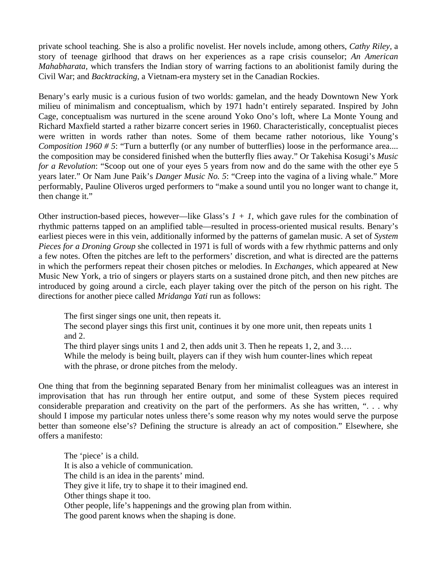private school teaching. She is also a prolific novelist. Her novels include, among others, *Cathy Riley,* a story of teenage girlhood that draws on her experiences as a rape crisis counselor; *An American Mahabharata*, which transfers the Indian story of warring factions to an abolitionist family during the Civ il War; and *Backtracking,* a Vietnam-era mystery set in the Canadian Rockies.

Benary's early music is a curious fusion of two worlds: gamelan, and the heady Downtown New York milieu of minimalism and conceptualism, which by 1971 hadn't entirely separated. Inspired by John Cage, conceptualism was nurtured in the scene around Yoko Ono's loft, where La Monte Young and Richard Maxfield started a rather bizarre concert series in 1960. Characteristically, conceptualist pieces were written in words rather than notes. Some of them became rather notorious, like Young's *Composition 1960 # 5*: "Turn a butterfly (or any number of butterflies) loose in the performance area.... the composition may be considered finished when the butterfly flies away." Or Takehisa Kosugi's *Music for a Revolution*: "Scoop out one of your eyes 5 years from now and do the same with the other eye 5 years later." Or Nam June Paik's *Danger Music No. 5*: "Creep into the vagina of a living whale." More performably, Pauline Oliveros urged performers to "make a sound until you no longer want to change it, the n change it."

Other instruction-based pieces, however—like Glass's  $1 + 1$ , which gave rules for the combination of rhythmic patterns tapped on an amplified table—resulted in process-oriented musical results. Benary's earliest pieces were in this vein, additionally informed by the patterns of gamelan music. A set of *System* Pieces for a Droning Group she collected in 1971 is full of words with a few rhythmic patterns and only a few notes. Often the pitches are left to the performers' discretion, and what is directed are the patterns in which the performers repeat their chosen pitches or melodies. In *Exchanges*, which appeared at New Music New York, a trio of singers or players starts on a sustained drone pitch, and then new pitches are introduced by going around a circle, each player taking over the pitch of the person on his right. The dire ctions for another piece called *Mridanga Yati* run as follows:

The first singer sings one unit, then repeats it.

The second player sings this first unit, continues it by one more unit, then repeats units 1 and 2.

The third player sings units 1 and 2, then adds unit 3. Then he repeats 1, 2, and 3...

While the melody is being built, players can if they wish hum counter-lines which repeat wit h the phrase, or drone pitches from the melody.

One thing that from the beginning separated Benary from her minimalist colleagues was an interest in improvisation that has run through her entire output, and some of these System pieces required considerable preparation and creativity on the part of the performers. As she has written, ". . . why should I impose my particular notes unless there's some reason why my notes would serve the purpose better than someone else's? Defining the structure is already an act of composition." Elsewhere, she off ers a manifesto:

 The child is an idea in the parents' mind. They give it life, try to shape it to their imagined end. Oth er things shape it too. Other people, life's happenings and the growing plan from within. The good parent knows when the shaping is done. The 'piece' is a child. It is also a vehicle of communication.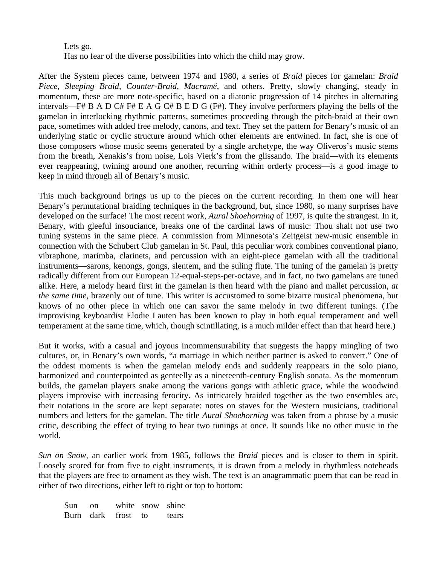Lets go. Has no fear of the diverse possibilities into which the child may grow.

After the System pieces came, between 1974 and 1980, a series of *Braid* pieces for gamelan: *Braid* Piece, Sleeping Braid, Counter-Braid, Macramé, and others. Pretty, slowly changing, steady in momentum, these are more note-specific, based on a diatonic progression of 14 pitches in alternating intervals—F# B A D C# F# E A G C# B E D G (F#). They involve performers playing the bells of the gamelan in interlocking rhythmic patterns, sometimes proceeding through the pitch-braid at their own pace, sometimes with added free melody, canons, and text. They set the pattern for Benary's music of an underlying static or cyclic structure around which other elements are entwined. In fact, she is one of those composers whose music seems generated by a single archetype, the way Oliveros's music stems from the breath, Xenakis's from noise, Lois Vierk's from the glissando. The braid—with its elements ever reappearing, twining around one another, recurring within orderly process—is a good image to kee p in mind through all of Benary's music.

This much background brings us up to the pieces on the current recording. In them one will hear Benary's permutational braiding techniques in the background, but, since 1980, so many surprises have developed on the surface! The most recent work, *Aural Shoehorning* of 1997, is quite the strangest. In it, Benary, with gleeful insouciance, breaks one of the cardinal laws of music: Thou shalt not use two tuning systems in the same piece. A commission from Minnesota's Zeitgeist new-music ensemble in connection with the Schubert Club gamelan in St. Paul, this peculiar work combines conventional piano, vibraphone, marimba, clarinets, and percussion with an eight-piece gamelan with all the traditional instruments—sarons, kenongs, gongs, slentem, and the suling flute. The tuning of the gamelan is pretty radically different from our European 12-equal-steps-per-octave, and in fact, no two gamelans are tuned alike. Here, a melody heard first in the gamelan is then heard with the piano and mallet percussion, at *the same time, brazenly out of tune. This writer is accustomed to some bizarre musical phenomena, but* knows of no other piece in which one can savor the same melody in two different tunings. (The improvising keyboardist Elodie Lauten has been known to play in both equal temperament and well temperament at the same time, which, though scintillating, is a much milder effect than that heard here.)

But it works, with a casual and joyous incommensurability that suggests the happy mingling of two cultures, or, in Benary's own words, "a marriage in which neither partner is asked to convert." One of the oddest moments is when the gamelan melody ends and suddenly reappears in the solo piano, harmonized and counterpointed as genteelly as a nineteenth-century English sonata. As the momentum builds, the gamelan players snake among the various gongs with athletic grace, while the woodwind players improvise with increasing ferocity. As intricately braided together as the two ensembles are, their notations in the score are kept separate: notes on staves for the Western musicians, traditional num bers and letters for the gamelan. The title *Aural Shoehorning* was taken from a phrase by a music critic, describing the effect of trying to hear two tunings at once. It sounds like no other music in the wor ld.

*Sun on Snow*, an earlier work from 1985, follows the *Braid* pieces and is closer to them in spirit. Loosely scored for from five to eight instruments, it is drawn from a melody in rhythmless noteheads that the players are free to ornament as they wish. The text is an anagrammatic poem that can be read in eith er of two directions, either left to right or top to bottom:

| Sun on |                          | white snow shine |  |
|--------|--------------------------|------------------|--|
|        | Burn dark frost to tears |                  |  |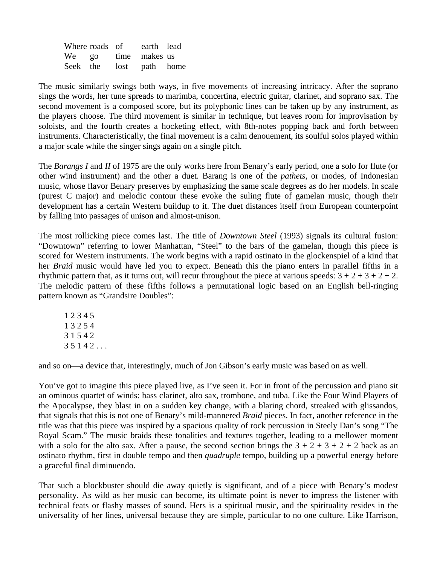|  | Where roads of earth lead |  |
|--|---------------------------|--|
|  | We go time makes us       |  |
|  | Seek the lost path home   |  |

The music similarly swings both ways, in five movements of increasing intricacy. After the soprano sings the words, her tune spreads to marimba, concertina, electric guitar, clarinet, and soprano sax. The second movement is a composed score, but its polyphonic lines can be taken up by any instrument, as the players choose. The third movement is similar in technique, but leaves room for improvisation by soloists, and the fourth creates a hocketing effect, with 8th-notes popping back and forth between instruments. Characteristically, the final movement is a calm denouement, its soulful solos played within a m ajor scale while the singer sings again on a single pitch.

The Barangs *I* and *II* of 1975 are the only works here from Benary's early period, one a solo for flute (or other wind instrument) and the other a duet. Barang is one of the *pathets*, or modes, of Indonesian music, whose flavor Benary preserves by emphasizing the same scale degrees as do her models. In scale (purest C major) and melodic contour these evoke the suling flute of gamelan music, though their development has a certain Western buildup to it. The duet distances itself from European counterpoint by falling into passages of unison and almost-unison.

The most rollicking piece comes last. The title of *Downtown Steel* (1993) signals its cultural fusion: "Downtown" referring to lower Manhattan, "Steel" to the bars of the gamelan, though this piece is scored for Western instruments. The work begins with a rapid ostinato in the glockenspiel of a kind that her *Braid* music would have led you to expect. Beneath this the piano enters in parallel fifths in a rhy thmic pattern that, as it turns out, will recur throughout the piece at various speeds:  $3 + 2 + 3 + 2 + 2$ . The melodic pattern of these fifths follows a permutational logic based on an English bell-ringing pattern known as "Grandsire Doubles":

1 2 3 4 5 1 3 2 5 4 3 1 5 4 2  $35142...$ 

and so on—a device that, interestingly, much of Jon Gibson's early music was based on as well.

You've got to imagine this piece played live, as I've seen it. For in front of the percussion and piano sit an ominous quartet of winds: bass clarinet, alto sax, trombone, and tuba. Like the Four Wind Players of the Apocalypse, they blast in on a sudden key change, with a blaring chord, streaked with glissandos, that signals that this is not one of Benary's mild-mannered *Braid* pieces. In fact, another reference in the title was that this piece was inspired by a spacious quality of rock percussion in Steely Dan's song "The Royal Scam." The music braids these tonalities and textures together, leading to a mellower moment with a solo for the alto sax. After a pause, the second section brings the  $3 + 2 + 3 + 2 + 2$  back as an ostinato rhythm, first in double tempo and then *quadruple* tempo, building up a powerful energy before a g raceful final diminuendo.

That such a blockbuster should die away quietly is significant, and of a piece with Benary's modest personality. As wild as her music can become, its ultimate point is never to impress the listener with technical feats or flashy masses of sound. Hers is a spiritual music, and the spirituality resides in the universality of her lines, universal because they are simple, particular to no one culture. Like Harrison,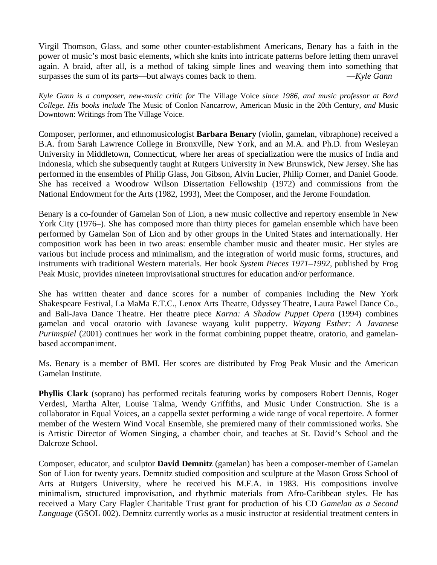Virgil Thomson, Glass, and some other counter-establishment Americans, Benary has a faith in the power of music's most basic elements, which she knits into intricate patterns before letting them unravel again. A braid, after all, is a method of taking simple lines and weaving them into something that surpasses the sum of its parts—but always comes back to them. —*Kyle Gann*

Kyle Gann is a composer, new-music critic for The Village Voice since 1986, and music professor at Bard *College. His books include* The Music of Conlon Nancarrow, American Music in the 20th Century, and Music Dow ntown: Writings from The Village Voice.

Composer, performer, and ethnomusicologist **Barbara Benary** (violin, gamelan, vibraphone) received a B.A. from Sarah Lawrence College in Bronxville, New York, and an M.A. and Ph.D. from Wesleyan University in Middletown, Connecticut, where her areas of specialization were the musics of India and Indonesia, which she subsequently taught at Rutgers University in New Brunswick, New Jersey. She has performed in the ensembles of Philip Glass, Jon Gibson, Alvin Lucier, Philip Corner, and Daniel Goode. She has received a Woodrow Wilson Dissertation Fellowship (1972) and commissions from the Nat ional Endowment for the Arts (1982, 1993), Meet the Composer, and the Jerome Foundation.

Benary is a co-founder of Gamelan Son of Lion, a new music collective and repertory ensemble in New York City (1976–). She has composed more than thirty pieces for gamelan ensemble which have been performed by Gamelan Son of Lion and by other groups in the United States and internationally. Her composition work has been in two areas: ensemble chamber music and theater music. Her styles are various but include process and minimalism, and the integration of world music forms, structures, and instruments with traditional Western materials. Her book System Pieces 1971–1992, published by Frog Pea k Music, provides nineteen improvisational structures for education and/or performance.

She has written theater and dance scores for a number of companies including the New York Shakespeare Festival, La MaMa E.T.C., Lenox Arts Theatre, Odyssey Theatre, Laura Pawel Dance Co., and Bali-Java Dance Theatre. Her theatre piece *Karna: A Shadow Puppet Opera* (1994) combines gamelan and vocal oratorio with Javanese wayang kulit puppetry. *Wayang Esther: A Javanese Purimspiel* (2001) continues her work in the format combining puppet theatre, oratorio, and gamelanbas ed accompaniment.

Ms. Benary is a member of BMI. Her scores are distributed by Frog Peak Music and the American Gam elan Institute.

Phyllis Clark (soprano) has performed recitals featuring works by composers Robert Dennis, Roger Verdesi, Martha Alter, Louise Talma, Wendy Griffiths, and Music Under Construction. She is a collaborator in Equal Voices, an a cappella sextet performing a wide range of vocal repertoire. A former member of the Western Wind Vocal Ensemble, she premiered many of their commissioned works. She is Artistic Director of Women Singing, a chamber choir, and teaches at St. David's School and the Dalcroze School.

Composer, educator, and sculptor **David Demnitz** (gamelan) has been a composer-member of Gamelan Son of Lion for twenty years. Demnitz studied composition and sculpture at the Mason Gross School of Arts at Rutgers University, where he received his M.F.A. in 1983. His compositions involve minimalism, structured improvisation, and rhythmic materials from Afro-Caribbean styles. He has received a Mary Cary Flagler Charitable Trust grant for production of his CD *Gamelan as a Second Language* (GSOL 002). Demnitz currently works as a music instructor at residential treatment centers in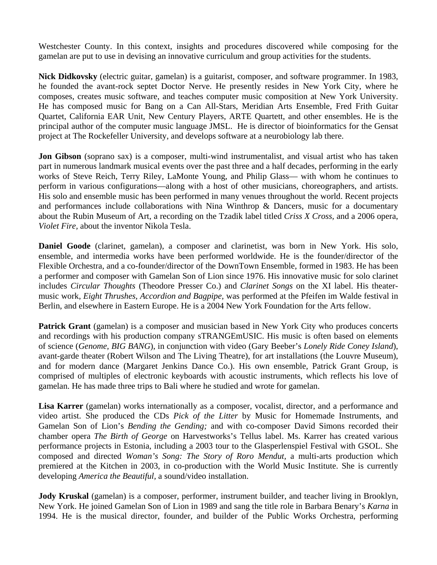Westchester County. In this context, insights and procedures discovered while composing for the gam elan are put to use in devising an innovative curriculum and group activities for the students.

**Nick Didkovsky** (electric guitar, gamelan) is a guitarist, composer, and software programmer. In 1983, he founded the avant-rock septet Doctor Nerve. He presently resides in New York City, where he composes, creates music software, and teaches computer music composition at New York University. He has composed music for Bang on a Can All-Stars, Meridian Arts Ensemble, Fred Frith Guitar Quartet, California EAR Unit, New Century Players, ARTE Quartett, and other ensembles. He is the principal author of the computer music language JMSL. He is director of bioinformatics for the Gensat pro ject at The Rockefeller University, and develops software at a neurobiology lab there.

**Jon Gibson** (soprano sax) is a composer, multi-wind instrumentalist, and visual artist who has taken part in numerous landmark musical events over the past three and a half decades, performing in the early works of Steve Reich, Terry Riley, LaMonte Young, and Philip Glass— with whom he continues to perform in various configurations—along with a host of other musicians, choreographers, and artists. His solo and ensemble music has been performed in many venues throughout the world. Recent projects and performances include collaborations with Nina Winthrop & Dancers, music for a documentary about the Rubin Museum of Art, a recording on the Tzadik label titled *Criss X Cross*, and a 2006 opera, *Vio let Fire,* about the inventor Nikola Tesla.

Daniel Goode (clarinet, gamelan), a composer and clarinetist, was born in New York. His solo, ensemble, and intermedia works have been performed worldwide. He is the founder/director of the Flexible Orchestra, and a co-founder/director of the DownTown Ensemble, formed in 1983. He has been a performer and composer with Gamelan Son of Lion since 1976. His innovative music for solo clarinet includes *Circular Thoughts* (Theodore Presser Co.) and *Clarinet Songs* on the XI label. His theatermusic work, *Eight Thrushes, Accordion and Bagpipe*, was performed at the Pfeifen im Walde festival in Ber lin, and elsewhere in Eastern Europe. He is a 2004 New York Foundation for the Arts fellow.

Patrick Grant (gamelan) is a composer and musician based in New York City who produces concerts and recordings with his production company sTRANGEmUSIC. His music is often based on elements of science (*Genome, BIG BANG*), in conjunction with video (Gary Beeber's *Lonely Ride Coney Island*), avant-garde theater (Robert Wilson and The Living Theatre), for art installations (the Louvre Museum), and for modern dance (Margaret Jenkins Dance Co.). His own ensemble, Patrick Grant Group, is comprised of multiples of electronic keyboards with acoustic instruments, which reflects his love of gam elan. He has made three trips to Bali where he studied and wrote for gamelan.

Lisa Karrer (gamelan) works internationally as a composer, vocalist, director, and a performance and video artist. She produced the CDs Pick of the Litter by Music for Homemade Instruments, and Gamelan Son of Lion's *Bending the Gending;* and with co-composer David Simons recorded their chamber opera *The Birth of George* on Harvestworks's Tellus label. Ms. Karrer has created various performance projects in Estonia, including a 2003 tour to the Glasperlenspiel Festival with GSOL. She composed and directed Woman's Song: The Story of Roro Mendut, a multi-arts production which premiered at the Kitchen in 2003, in co-production with the World Music Institute. She is currently dev eloping *America the Beautiful,* a sound/video installation.

Jody Kruskal (gamelan) is a composer, performer, instrument builder, and teacher living in Brooklyn, New York. He joined Gamelan Son of Lion in 1989 and sang the title role in Barbara Benary's *Karna* in 1994. He is the musical director, founder, and builder of the Public Works Orchestra, performing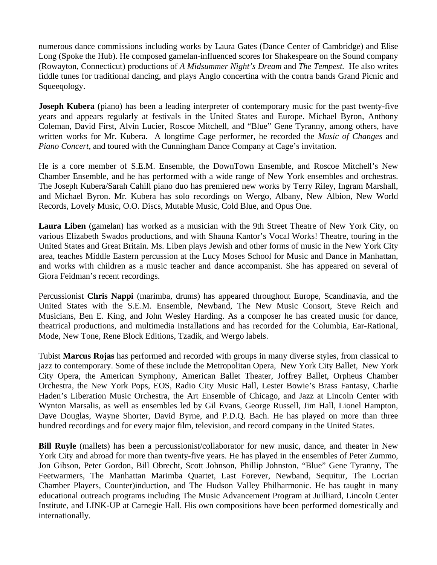numerous dance commissions including works by Laura Gates (Dance Center of Cambridge) and Elise Long (Spoke the Hub). He composed gamelan-influenced scores for Shakespeare on the Sound company (Rowayton, Connecticut) productions of *A Midsummer Night's Dream* and *The Tempest*. He also writes fiddle tunes for traditional dancing, and plays Anglo concertina with the contra bands Grand Picnic and Squeeqology.

**Joseph Kubera** (piano) has been a leading interpreter of contemporary music for the past twenty-five years and appears regularly at festivals in the United States and Europe. Michael Byron, Anthony Coleman, David First, Alvin Lucier, Roscoe Mitchell, and "Blue" Gene Tyranny, among others, have written works for Mr. Kubera. A longtime Cage performer, he recorded the *Music of Changes* and Piano Concert, and toured with the Cunningham Dance Company at Cage's invitation.

He is a core member of S.E.M. Ensemble, the DownTown Ensemble, and Roscoe Mitchell's New Chamber Ensemble, and he has performed with a wide range of New York ensembles and orchestras. The Joseph Kubera/Sarah Cahill piano duo has premiered new works by Terry Riley, Ingram Marshall, and Michael Byron. Mr. Kubera has solo recordings on Wergo, Albany, New Albion, New World Rec ords, Lovely Music, O.O. Discs, Mutable Music, Cold Blue, and Opus One.

Laura Liben (gamelan) has worked as a musician with the 9th Street Theatre of New York City, on various Elizabeth Swados productions, and with Shauna Kantor's Vocal Works! Theatre, touring in the United States and Great Britain. Ms. Liben plays Jewish and other forms of music in the New York City area, teaches Middle Eastern percussion at the Lucy Moses School for Music and Dance in Manhattan, and works with children as a music teacher and dance accompanist. She has appeared on several of Giora Feidman's recent recordings.

Percussionist Chris Nappi (marimba, drums) has appeared throughout Europe, Scandinavia, and the United States with the S.E.M. Ensemble, Newband, The New Music Consort, Steve Reich and Musicians, Ben E. King, and John Wesley Harding. As a composer he has created music for dance, the atrical productions, and multimedia installations and has recorded for the Columbia, Ear-Rational, Mode, New Tone, Rene Block Editions, Tzadik, and Wergo labels.

Tubist Marcus Rojas has performed and recorded with groups in many diverse styles, from classical to jazz to contemporary. Some of these include the Metropolitan Opera, New York City Ballet, New York Cit y Opera, the American Symphony, American Ballet Theater, Joffrey Ballet, Orpheus Chamber Orchestra, the New York Pops, EOS, Radio City Music Hall, Lester Bowie's Brass Fantasy, Charlie Haden's Liberation Music Orchestra, the Art Ensemble of Chicago, and Jazz at Lincoln Center with Wynton Marsalis, as well as ensembles led by Gil Evans, George Russell, Jim Hall, Lionel Hampton, Dave Douglas, Wayne Shorter, David Byrne, and P.D.Q. Bach. He has played on more than three hun dred recordings and for every major film, television, and record company in the United States.

Bill Ruyle (mallets) has been a percussionist/collaborator for new music, dance, and theater in New York City and abroad for more than twenty-five years. He has played in the ensembles of Peter Zummo, Jon Gibson, Peter Gordon, Bill Obrecht, Scott Johnson, Phillip Johnston, "Blue" Gene Tyranny, The Feetwarmers, The Manhattan Marimba Quartet, Last Forever, Newband, Sequitur, The Locrian Chamber Players, Counter)induction, and The Hudson Valley Philharmonic. He has taught in many educational outreach programs including The Music Advancement Program at Juilliard, Lincoln Center Institute, and LINK-UP at Carnegie Hall. His own compositions have been performed domestically and internationally.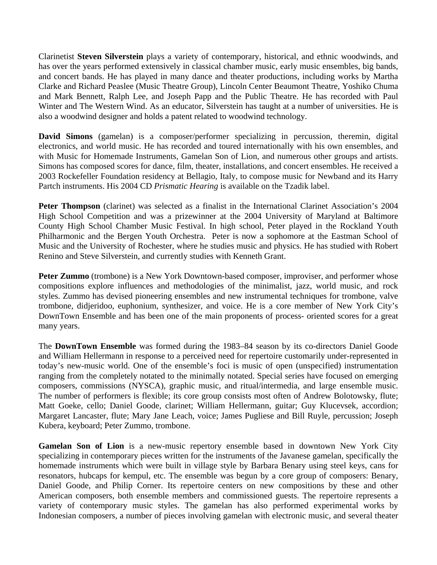Clarinetist Steven Silverstein plays a variety of contemporary, historical, and ethnic woodwinds, and has over the years performed extensively in classical chamber music, early music ensembles, big bands, and concert bands. He has played in many dance and theater productions, including works by Martha Clarke and Richard Peaslee (Music Theatre Group), Lincoln Center Beaumont Theatre, Yoshiko Chuma and Mark Bennett, Ralph Lee, and Joseph Papp and the Public Theatre. He has recorded with Paul Winter and The Western Wind. As an educator, Silverstein has taught at a number of universities. He is also a woodwind designer and holds a patent related to woodwind technology.

David Simons (gamelan) is a composer/performer specializing in percussion, theremin, digital electronics, and world music. He has recorded and toured internationally with his own ensembles, and with Music for Homemade Instruments, Gamelan Son of Lion, and numerous other groups and artists. Simons has composed scores for dance, film, theater, installations, and concert ensembles. He received a 2003 Rockefeller Foundation residency at Bellagio, Italy, to compose music for Newband and its Harry Par tch instruments. His 2004 CD *Prismatic Hearing* is available on the Tzadik label.

Peter Thompson (clarinet) was selected as a finalist in the International Clarinet Association's 2004 High School Competition and was a prizewinner at the 2004 University of Maryland at Baltimore County High School Chamber Music Festival. In high school, Peter played in the Rockland Youth Philharmonic and the Bergen Youth Orchestra. Peter is now a sophomore at the Eastman School of Music and the University of Rochester, where he studies music and physics. He has studied with Robert Ren ino and Steve Silverstein, and currently studies with Kenneth Grant.

Peter Zummo (trombone) is a New York Downtown-based composer, improviser, and performer whose compositions explore influences and methodologies of the minimalist, jazz, world music, and rock styles. Zummo has devised pioneering ensembles and new instrumental techniques for trombone, valve trombone, didjeridoo, euphonium, synthesizer, and voice. He is a core member of New York City's DownTown Ensemble and has been one of the main proponents of process- oriented scores for a great man y years.

The DownTown Ensemble was formed during the 1983–84 season by its co-directors Daniel Goode and William Hellermann in response to a perceived need for repertoire customarily under-represented in today's new-music world. One of the ensemble's foci is music of open (unspecified) instrumentation ranging from the completely notated to the minimally notated. Special series have focused on emerging composers, commissions (NYSCA), graphic music, and ritual/intermedia, and large ensemble music. The number of performers is flexible; its core group consists most often of Andrew Bolotowsky, flute; Matt Goeke, cello; Daniel Goode, clarinet; William Hellermann, guitar; Guy Klucevsek, accordion; Margaret Lancaster, flute; Mary Jane Leach, voice; James Pugliese and Bill Ruyle, percussion; Joseph Kubera, keyboard; Peter Zummo, trombone.

Gamelan Son of Lion is a new-music repertory ensemble based in downtown New York City specializing in contemporary pieces written for the instruments of the Javanese gamelan, specifically the homemade instruments which were built in village style by Barbara Benary using steel keys, cans for resonators, hubcaps for kempul, etc. The ensemble was begun by a core group of composers: Benary, Daniel Goode, and Philip Corner. Its repertoire centers on new compositions by these and other American composers, both ensemble members and commissioned guests. The repertoire represents a variety of contemporary music styles. The gamelan has also performed experimental works by Indonesian composers, a number of pieces involving gamelan with electronic music, and several theater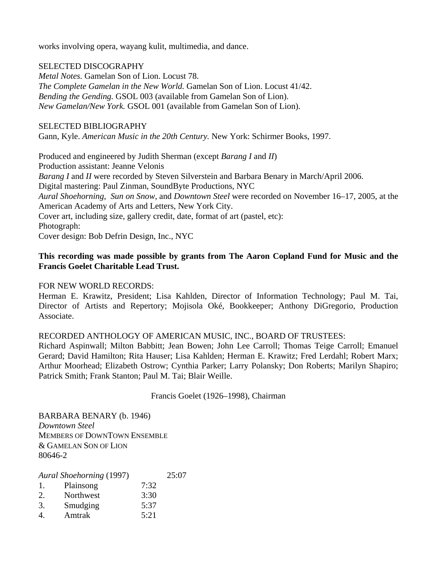works involving opera, wayang kulit, multimedia, and dance.

### SEL ECTED DISCOGRAPHY

*Me tal Notes.* Gamelan Son of Lion. Locust 78. *The Complete Gamelan in the New World.* Gamelan Son of Lion. Locust 41/42. *Ben ding the Gending.* GSOL 003 (available from Gamelan Son of Lion). *New Gamelan/New York.* GSOL 001 (available from Gamelan Son of Lion).

### SELECTED BIBLIOGRAPHY

Gan n, Kyle. *American Music in the 20th Century.* New York: Schirmer Books, 1997.

Pro duced and engineered by Judith Sherman (except *Barang I* and *II*) Pro duction assistant: Jeanne Velonis Barang I and II were recorded by Steven Silverstein and Barbara Benary in March/April 2006. Dig ital mastering: Paul Zinman, SoundByte Productions, NYC Aural Shoehorning, Sun on Snow, and *Downtown Steel* were recorded on November 16–17, 2005, at the Am erican Academy of Arts and Letters, New York City. Cov er art, including size, gallery credit, date, format of art (pastel, etc): Pho tograph: Cover design: Bob Defrin Design, Inc., NYC

### This recording was made possible by grants from The Aaron Copland Fund for Music and the **Fra ncis Goelet Charitable Lead Trust.**

#### FO R NEW WORLD RECORDS:

Herman E. Krawitz, President; Lisa Kahlden, Director of Information Technology; Paul M. Tai, Director of Artists and Repertory; Mojisola Oké, Bookkeeper; Anthony DiGregorio, Production Ass ociate.

### RECORDED ANTHOLOGY OF AMERICAN MUSIC, INC., BOARD OF TRUSTEES:

Richard Aspinwall; Milton Babbitt; Jean Bowen; John Lee Carroll; Thomas Teige Carroll; Emanuel Gerard; David Hamilton; Rita Hauser; Lisa Kahlden; Herman E. Krawitz; Fred Lerdahl; Robert Marx; Arthur Moorhead; Elizabeth Ostrow; Cynthia Parker; Larry Polansky; Don Roberts; Marilyn Shapiro; Pat rick Smith; Frank Stanton; Paul M. Tai; Blair Weille.

Francis Goelet (1926–1998), Chairman

BA RBARA BENARY (b. 1946) *Dow ntown Steel*  MEMBERS OF DOWNTOWN ENSEMBLE & G AMELAN SON OF LION 806 46-2

| Aural Shoehorning (1997) | 25:07     |      |  |
|--------------------------|-----------|------|--|
| 1.                       | Plainsong | 7:32 |  |
| 2.                       | Northwest | 3:30 |  |
| 3.                       | Smudging  | 5:37 |  |
|                          | Amtrak    | 5:21 |  |